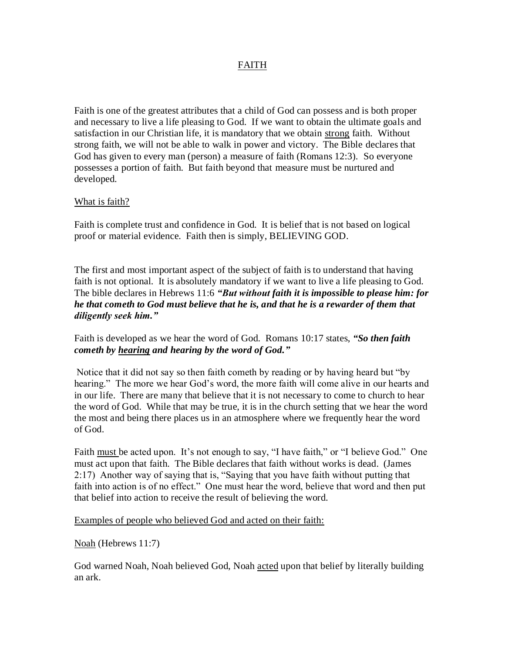# FAITH

Faith is one of the greatest attributes that a child of God can possess and is both proper and necessary to live a life pleasing to God. If we want to obtain the ultimate goals and satisfaction in our Christian life, it is mandatory that we obtain strong faith. Without strong faith, we will not be able to walk in power and victory. The Bible declares that God has given to every man (person) a measure of faith (Romans 12:3). So everyone possesses a portion of faith. But faith beyond that measure must be nurtured and developed.

### What is faith?

Faith is complete trust and confidence in God. It is belief that is not based on logical proof or material evidence. Faith then is simply, BELIEVING GOD.

The first and most important aspect of the subject of faith is to understand that having faith is not optional. It is absolutely mandatory if we want to live a life pleasing to God. The bible declares in Hebrews 11:6 *"But without faith it is impossible to please him: for he that cometh to God must believe that he is, and that he is a rewarder of them that diligently seek him."*

Faith is developed as we hear the word of God. Romans 10:17 states, *"So then faith cometh by hearing and hearing by the word of God."*

Notice that it did not say so then faith cometh by reading or by having heard but "by hearing." The more we hear God's word, the more faith will come alive in our hearts and in our life. There are many that believe that it is not necessary to come to church to hear the word of God. While that may be true, it is in the church setting that we hear the word the most and being there places us in an atmosphere where we frequently hear the word of God.

Faith must be acted upon. It's not enough to say, "I have faith," or "I believe God." One must act upon that faith. The Bible declares that faith without works is dead. (James 2:17) Another way of saying that is, "Saying that you have faith without putting that faith into action is of no effect." One must hear the word, believe that word and then put that belief into action to receive the result of believing the word.

#### Examples of people who believed God and acted on their faith:

#### Noah (Hebrews 11:7)

God warned Noah, Noah believed God, Noah acted upon that belief by literally building an ark.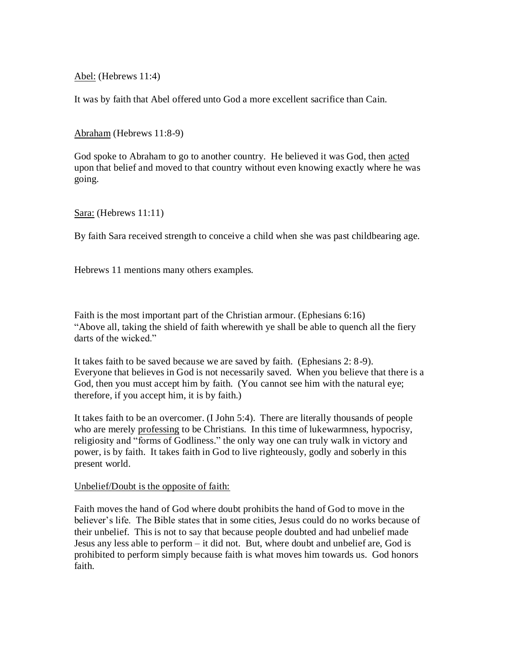Abel: (Hebrews 11:4)

It was by faith that Abel offered unto God a more excellent sacrifice than Cain.

Abraham (Hebrews 11:8-9)

God spoke to Abraham to go to another country. He believed it was God, then acted upon that belief and moved to that country without even knowing exactly where he was going.

Sara: (Hebrews 11:11)

By faith Sara received strength to conceive a child when she was past childbearing age.

Hebrews 11 mentions many others examples.

Faith is the most important part of the Christian armour. (Ephesians 6:16) "Above all, taking the shield of faith wherewith ye shall be able to quench all the fiery darts of the wicked."

It takes faith to be saved because we are saved by faith. (Ephesians 2: 8-9). Everyone that believes in God is not necessarily saved. When you believe that there is a God, then you must accept him by faith. (You cannot see him with the natural eye; therefore, if you accept him, it is by faith.)

It takes faith to be an overcomer. (I John 5:4). There are literally thousands of people who are merely professing to be Christians. In this time of lukewarmness, hypocrisy, religiosity and "forms of Godliness." the only way one can truly walk in victory and power, is by faith. It takes faith in God to live righteously, godly and soberly in this present world.

## Unbelief/Doubt is the opposite of faith:

Faith moves the hand of God where doubt prohibits the hand of God to move in the believer's life. The Bible states that in some cities, Jesus could do no works because of their unbelief. This is not to say that because people doubted and had unbelief made Jesus any less able to perform – it did not. But, where doubt and unbelief are, God is prohibited to perform simply because faith is what moves him towards us. God honors faith.